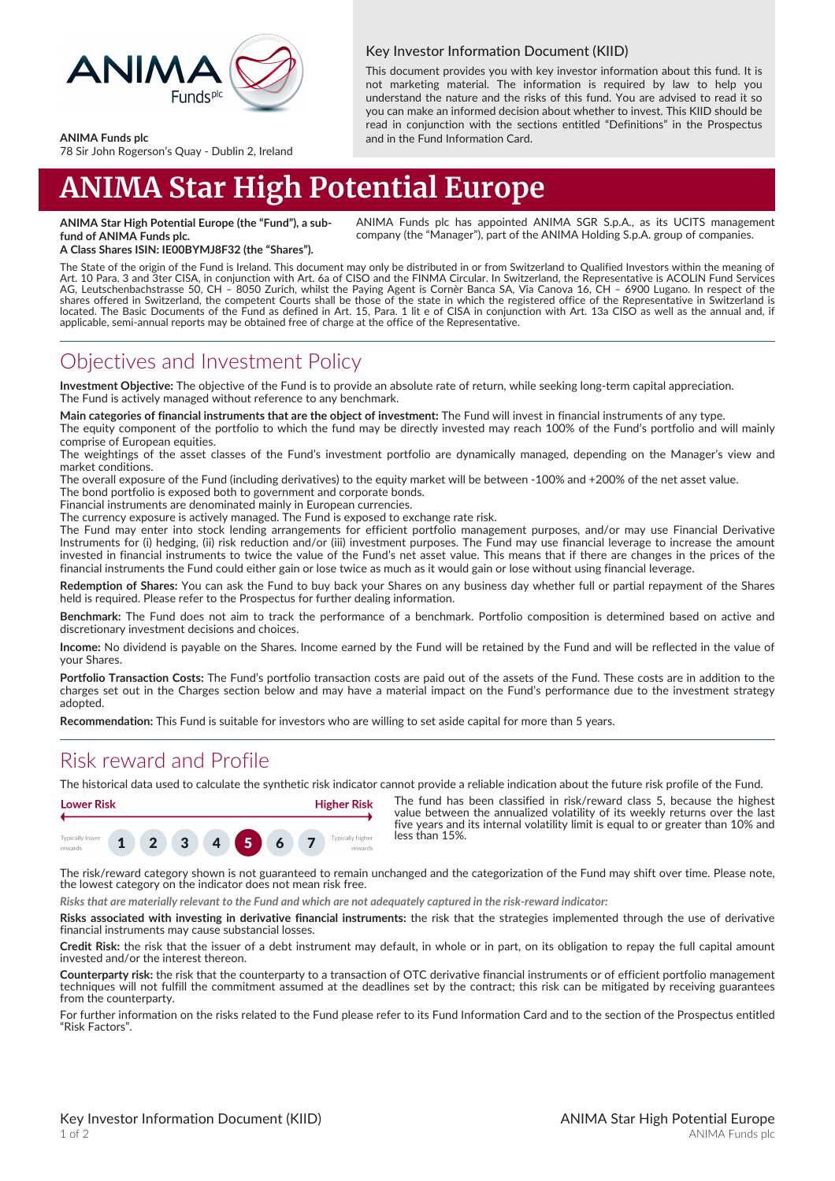

#### Key Investor Information Document (KIID)

This document provides you with key investor information about this fund. It is not marketing material. The information is required by law to help you understand the nature and the risks of this fund. You are advised to read it so you can make an informed decision about whether to invest. This KIID should be read in conjunction with the sections entitled "Definitions" in the Prospectus and in the Fund Information Card.

#### **ANIMA Funds plc**

78 Sir John Rogerson's Quay - Dublin 2, Ireland

# **ANIMA Star High Potential Europe**

**ANIMA Star High Potential Europe (the "Fund"), a subfund of ANIMA Funds plc.**

ANIMA Funds plc has appointed ANIMA SGR S.p.A., as its UCITS management company (the "Manager"), part of the ANIMA Holding S.p.A. group of companies.

**A Class Shares ISIN: IE00BYMJ8F32 (the "Shares").**

The State of the origin of the Fund is Ireland. This document may only be distributed in or from Switzerland to Qualified Investors within the meaning of Art. 10 Para. 3 and 3ter CISA, in conjunction with Art. 6a of CISO and the FINMA Circular. In Switzerland, the Representative is ACOLIN Fund Services<br>AG, Leutschenbachstrasse 50, CH – 8050 Zurich, whilst the Paying Agent i shares offered in Switzerland, the competent Courts shall be those of the state in which the registered office of the Representative in Switzerland is<br>located. The Basic Documents of the Fund as defined in Art. 15, Para. 1 applicable, semi-annual reports may be obtained free of charge at the office of the Representative.

#### Objectives and Investment Policy

**Investment Objective:** The objective of the Fund is to provide an absolute rate of return, while seeking long-term capital appreciation. The Fund is actively managed without reference to any benchmark.

**Main categories of financial instruments that are the object of investment:** The Fund will invest in financial instruments of any type.

The equity component of the portfolio to which the fund may be directly invested may reach 100% of the Fund's portfolio and will mainly comprise of European equities.

The weightings of the asset classes of the Fund's investment portfolio are dynamically managed, depending on the Manager's view and market conditions.

The overall exposure of the Fund (including derivatives) to the equity market will be between -100% and +200% of the net asset value. The bond portfolio is exposed both to government and corporate bonds.

Financial instruments are denominated mainly in European currencies.

The currency exposure is actively managed. The Fund is exposed to exchange rate risk.

The Fund may enter into stock lending arrangements for efficient portfolio management purposes, and/or may use Financial Derivative Instruments for (i) hedging, (ii) risk reduction and/or (iii) investment purposes. The Fund may use financial leverage to increase the amount invested in financial instruments to twice the value of the Fund's net asset value. This means that if there are changes in the prices of the financial instruments the Fund could either gain or lose twice as much as it would gain or lose without using financial leverage.

**Redemption of Shares:** You can ask the Fund to buy back your Shares on any business day whether full or partial repayment of the Shares held is required. Please refer to the Prospectus for further dealing information.

**Benchmark:** The Fund does not aim to track the performance of a benchmark. Portfolio composition is determined based on active and discretionary investment decisions and choices.

**Income:** No dividend is payable on the Shares. Income earned by the Fund will be retained by the Fund and will be reflected in the value of your Shares.

**Portfolio Transaction Costs:** The Fund's portfolio transaction costs are paid out of the assets of the Fund. These costs are in addition to the charges set out in the Charges section below and may have a material impact on the Fund's performance due to the investment strategy adopted.

**Recommendation:** This Fund is suitable for investors who are willing to set aside capital for more than 5 years.

### Risk reward and Profile

The historical data used to calculate the synthetic risk indicator cannot provide a reliable indication about the future risk profile of the Fund.



The fund has been classified in risk/reward class 5, because the highest value between the annualized volatility of its weekly returns over the last five years and its internal volatility limit is equal to or greater than 10% and less than 15%.

The risk/reward category shown is not guaranteed to remain unchanged and the categorization of the Fund may shift over time. Please note, the lowest category on the indicator does not mean risk free.

*Risks that are materially relevant to the Fund and which are not adequately captured in the risk-reward indicator:*

**Risks associated with investing in derivative financial instruments:** the risk that the strategies implemented through the use of derivative financial instruments may cause substancial losses.

**Credit Risk:** the risk that the issuer of a debt instrument may default, in whole or in part, on its obligation to repay the full capital amount invested and/or the interest thereon.

**Counterparty risk:** the risk that the counterparty to a transaction of OTC derivative financial instruments or of efficient portfolio management techniques will not fulfill the commitment assumed at the deadlines set by the contract; this risk can be mitigated by receiving guarantees from the counterparty.

For further information on the risks related to the Fund please refer to its Fund Information Card and to the section of the Prospectus entitled "Risk Factors".